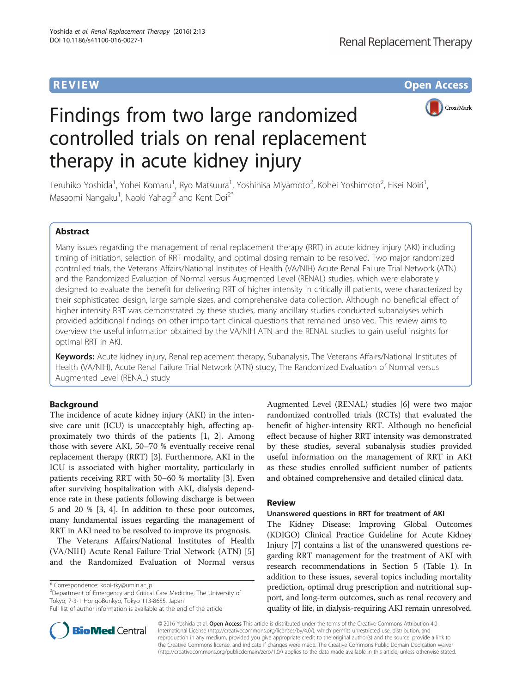**REVIEW CONTROL** CONTROL CONTROL CONTROL CONTROL CONTROL CONTROL CONTROL CONTROL CONTROL CONTROL CONTROL CONTROL



# Findings from two large randomized controlled trials on renal replacement therapy in acute kidney injury

Teruhiko Yoshida<sup>1</sup>, Yohei Komaru<sup>1</sup>, Ryo Matsuura<sup>1</sup>, Yoshihisa Miyamoto<sup>2</sup>, Kohei Yoshimoto<sup>2</sup>, Eisei Noiri<sup>1</sup> , Masaomi Nangaku<sup>1</sup>, Naoki Yahagi<sup>2</sup> and Kent Doi<sup>2\*</sup>

## Abstract

Many issues regarding the management of renal replacement therapy (RRT) in acute kidney injury (AKI) including timing of initiation, selection of RRT modality, and optimal dosing remain to be resolved. Two major randomized controlled trials, the Veterans Affairs/National Institutes of Health (VA/NIH) Acute Renal Failure Trial Network (ATN) and the Randomized Evaluation of Normal versus Augmented Level (RENAL) studies, which were elaborately designed to evaluate the benefit for delivering RRT of higher intensity in critically ill patients, were characterized by their sophisticated design, large sample sizes, and comprehensive data collection. Although no beneficial effect of higher intensity RRT was demonstrated by these studies, many ancillary studies conducted subanalyses which provided additional findings on other important clinical questions that remained unsolved. This review aims to overview the useful information obtained by the VA/NIH ATN and the RENAL studies to gain useful insights for optimal RRT in AKI.

Keywords: Acute kidney injury, Renal replacement therapy, Subanalysis, The Veterans Affairs/National Institutes of Health (VA/NIH), Acute Renal Failure Trial Network (ATN) study, The Randomized Evaluation of Normal versus Augmented Level (RENAL) study

### Background

The incidence of acute kidney injury (AKI) in the intensive care unit (ICU) is unacceptably high, affecting approximately two thirds of the patients [\[1](#page-5-0), [2\]](#page-5-0). Among those with severe AKI, 50–70 % eventually receive renal replacement therapy (RRT) [\[3](#page-5-0)]. Furthermore, AKI in the ICU is associated with higher mortality, particularly in patients receiving RRT with 50–60 % mortality [\[3](#page-5-0)]. Even after surviving hospitalization with AKI, dialysis dependence rate in these patients following discharge is between 5 and 20 % [\[3](#page-5-0), [4](#page-5-0)]. In addition to these poor outcomes, many fundamental issues regarding the management of RRT in AKI need to be resolved to improve its prognosis.

The Veterans Affairs/National Institutes of Health (VA/NIH) Acute Renal Failure Trial Network (ATN) [\[5](#page-5-0)] and the Randomized Evaluation of Normal versus

\* Correspondence: [kdoi-tky@umin.ac.jp](mailto:kdoi-tky@umin.ac.jp) <sup>2</sup>

<sup>2</sup>Department of Emergency and Critical Care Medicine, The University of Tokyo, 7-3-1 HongoBunkyo, Tokyo 113-8655, Japan



#### Review

#### Unanswered questions in RRT for treatment of AKI

The Kidney Disease: Improving Global Outcomes (KDIGO) Clinical Practice Guideline for Acute Kidney Injury [\[7](#page-5-0)] contains a list of the unanswered questions regarding RRT management for the treatment of AKI with research recommendations in Section 5 (Table [1\)](#page-1-0). In addition to these issues, several topics including mortality prediction, optimal drug prescription and nutritional support, and long-term outcomes, such as renal recovery and quality of life, in dialysis-requiring AKI remain unresolved.



© 2016 Yoshida et al. Open Access This article is distributed under the terms of the Creative Commons Attribution 4.0 International License [\(http://creativecommons.org/licenses/by/4.0/](http://creativecommons.org/licenses/by/4.0/)), which permits unrestricted use, distribution, and reproduction in any medium, provided you give appropriate credit to the original author(s) and the source, provide a link to the Creative Commons license, and indicate if changes were made. The Creative Commons Public Domain Dedication waiver [\(http://creativecommons.org/publicdomain/zero/1.0/](http://creativecommons.org/publicdomain/zero/1.0/)) applies to the data made available in this article, unless otherwise stated.

Full list of author information is available at the end of the article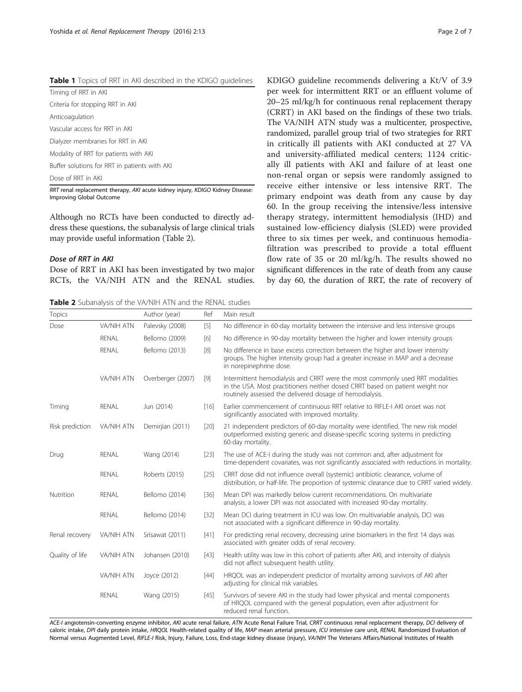<span id="page-1-0"></span>

| <b>Table 1</b> Topics of RRT in AKI described in the KDIGO guidelines |  |
|-----------------------------------------------------------------------|--|
|-----------------------------------------------------------------------|--|

Timing of RRT in AKI Criteria for stopping RRT in AKI Anticoagulation Vascular access for RRT in AKI Dialyzer membranes for RRT in AKI Modality of RRT for patients with AKI

Buffer solutions for RRT in patients with AKI

Dose of RRT in AKI

RRT renal replacement therapy, AKI acute kidney injury, KDIGO Kidney Disease: Improving Global Outcome

Although no RCTs have been conducted to directly address these questions, the subanalysis of large clinical trials may provide useful information (Table 2).

#### Dose of RRT in AKI

Dose of RRT in AKI has been investigated by two major RCTs, the VA/NIH ATN and the RENAL studies.

Table 2 Subanalysis of the VA/NIH ATN and the RENAL studies

KDIGO guideline recommends delivering a Kt/V of 3.9 per week for intermittent RRT or an effluent volume of 20–25 ml/kg/h for continuous renal replacement therapy (CRRT) in AKI based on the findings of these two trials. The VA/NIH ATN study was a multicenter, prospective, randomized, parallel group trial of two strategies for RRT in critically ill patients with AKI conducted at 27 VA and university-affiliated medical centers; 1124 critically ill patients with AKI and failure of at least one non-renal organ or sepsis were randomly assigned to receive either intensive or less intensive RRT. The primary endpoint was death from any cause by day 60. In the group receiving the intensive/less intensive therapy strategy, intermittent hemodialysis (IHD) and sustained low-efficiency dialysis (SLED) were provided three to six times per week, and continuous hemodiafiltration was prescribed to provide a total effluent flow rate of 35 or 20 ml/kg/h. The results showed no significant differences in the rate of death from any cause by day 60, the duration of RRT, the rate of recovery of

| <b>Topics</b>   |                   | Author (year)     | Ref    | Main result                                                                                                                                                                                                                |
|-----------------|-------------------|-------------------|--------|----------------------------------------------------------------------------------------------------------------------------------------------------------------------------------------------------------------------------|
| Dose            | VA/NIH ATN        | Palevsky (2008)   | $[5]$  | No difference in 60-day mortality between the intensive and less intensive groups                                                                                                                                          |
|                 | <b>RENAL</b>      | Bellomo (2009)    | [6]    | No difference in 90-day mortality between the higher and lower intensity groups                                                                                                                                            |
|                 | <b>RENAL</b>      | Bellomo (2013)    | $[8]$  | No difference in base excess correction between the higher and lower intensity<br>groups. The higher intensity group had a greater increase in MAP and a decrease<br>in norepinephrine dose.                               |
|                 | VA/NIH ATN        | Overberger (2007) | $[9]$  | Intermittent hemodialysis and CRRT were the most commonly used RRT modalities<br>in the USA. Most practitioners neither dosed CRRT based on patient weight nor<br>routinely assessed the delivered dosage of hemodialysis. |
| Timing          | RENAL             | Jun (2014)        | [16]   | Earlier commencement of continuous RRT relative to RIFLE-I AKI onset was not<br>significantly associated with improved mortality.                                                                                          |
| Risk prediction | <b>VA/NIH ATN</b> | Demirjian (2011)  | [20]   | 21 independent predictors of 60-day mortality were identified. The new risk model<br>outperformed existing generic and disease-specific scoring systems in predicting<br>60-day mortality.                                 |
| Drug            | RENAL             | Wang (2014)       | $[23]$ | The use of ACE-I during the study was not common and, after adjustment for<br>time-dependent covariates, was not significantly associated with reductions in mortality.                                                    |
|                 | <b>RENAL</b>      | Roberts (2015)    | $[25]$ | CRRT dose did not influence overall (systemic) antibiotic clearance, volume of<br>distribution, or half-life. The proportion of systemic clearance due to CRRT varied widely.                                              |
| Nutrition       | RENAL             | Bellomo (2014)    | $[36]$ | Mean DPI was markedly below current recommendations. On multivariate<br>analysis, a lower DPI was not associated with increased 90-day mortality.                                                                          |
|                 | RENAL             | Bellomo (2014)    | $[32]$ | Mean DCI during treatment in ICU was low. On multivariable analysis, DCI was<br>not associated with a significant difference in 90-day mortality.                                                                          |
| Renal recovery  | <b>VA/NIH ATN</b> | Srisawat (2011)   | $[41]$ | For predicting renal recovery, decreasing urine biomarkers in the first 14 days was<br>associated with greater odds of renal recovery.                                                                                     |
| Quality of life | <b>VA/NIH ATN</b> | Johansen (2010)   | $[43]$ | Health utility was low in this cohort of patients after AKI, and intensity of dialysis<br>did not affect subsequent health utility.                                                                                        |
|                 | <b>VA/NIH ATN</b> | Joyce (2012)      | $[44]$ | HRQOL was an independent predictor of mortality among survivors of AKI after<br>adjusting for clinical risk variables.                                                                                                     |
|                 | RENAL             | Wang (2015)       | $[45]$ | Survivors of severe AKI in the study had lower physical and mental components<br>of HRQOL compared with the general population, even after adjustment for<br>reduced renal function.                                       |

ACE-I angiotensin-converting enzyme inhibitor, AKI acute renal failure, ATN Acute Renal Failure Trial, CRRT continuous renal replacement therapy, DCI delivery of caloric intake, DPI daily protein intake, HROOL Health-related quality of life, MAP mean arterial pressure, ICU intensive care unit, RENAL Randomized Evaluation of Normal versus Augmented Level, RIFLE-I Risk, Injury, Failure, Loss, End-stage kidney disease (injury), VA/NIH The Veterans Affairs/National Institutes of Health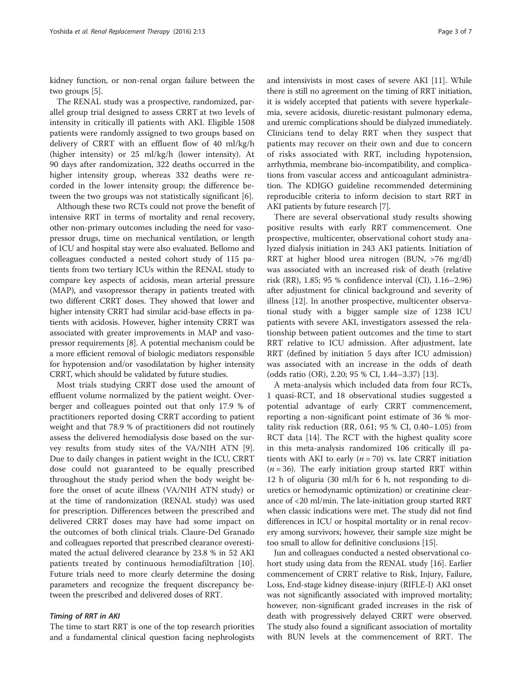kidney function, or non-renal organ failure between the two groups [\[5](#page-5-0)].

The RENAL study was a prospective, randomized, parallel group trial designed to assess CRRT at two levels of intensity in critically ill patients with AKI. Eligible 1508 patients were randomly assigned to two groups based on delivery of CRRT with an effluent flow of 40 ml/kg/h (higher intensity) or 25 ml/kg/h (lower intensity). At 90 days after randomization, 322 deaths occurred in the higher intensity group, whereas 332 deaths were recorded in the lower intensity group; the difference between the two groups was not statistically significant [\[6\]](#page-5-0).

Although these two RCTs could not prove the benefit of intensive RRT in terms of mortality and renal recovery, other non-primary outcomes including the need for vasopressor drugs, time on mechanical ventilation, or length of ICU and hospital stay were also evaluated. Bellomo and colleagues conducted a nested cohort study of 115 patients from two tertiary ICUs within the RENAL study to compare key aspects of acidosis, mean arterial pressure (MAP), and vasopressor therapy in patients treated with two different CRRT doses. They showed that lower and higher intensity CRRT had similar acid-base effects in patients with acidosis. However, higher intensity CRRT was associated with greater improvements in MAP and vasopressor requirements [\[8](#page-5-0)]. A potential mechanism could be a more efficient removal of biologic mediators responsible for hypotension and/or vasodilatation by higher intensity CRRT, which should be validated by future studies.

Most trials studying CRRT dose used the amount of effluent volume normalized by the patient weight. Overberger and colleagues pointed out that only 17.9 % of practitioners reported dosing CRRT according to patient weight and that 78.9 % of practitioners did not routinely assess the delivered hemodialysis dose based on the survey results from study sites of the VA/NIH ATN [\[9](#page-5-0)]. Due to daily changes in patient weight in the ICU, CRRT dose could not guaranteed to be equally prescribed throughout the study period when the body weight before the onset of acute illness (VA/NIH ATN study) or at the time of randomization (RENAL study) was used for prescription. Differences between the prescribed and delivered CRRT doses may have had some impact on the outcomes of both clinical trials. Claure-Del Granado and colleagues reported that prescribed clearance overestimated the actual delivered clearance by 23.8 % in 52 AKI patients treated by continuous hemodiafiltration [[10](#page-5-0)]. Future trials need to more clearly determine the dosing parameters and recognize the frequent discrepancy between the prescribed and delivered doses of RRT.

#### Timing of RRT in AKI

The time to start RRT is one of the top research priorities and a fundamental clinical question facing nephrologists and intensivists in most cases of severe AKI [\[11](#page-5-0)]. While there is still no agreement on the timing of RRT initiation, it is widely accepted that patients with severe hyperkalemia, severe acidosis, diuretic-resistant pulmonary edema, and uremic complications should be dialyzed immediately. Clinicians tend to delay RRT when they suspect that patients may recover on their own and due to concern of risks associated with RRT, including hypotension, arrhythmia, membrane bio-incompatibility, and complications from vascular access and anticoagulant administration. The KDIGO guideline recommended determining reproducible criteria to inform decision to start RRT in AKI patients by future research [[7\]](#page-5-0).

There are several observational study results showing positive results with early RRT commencement. One prospective, multicenter, observational cohort study analyzed dialysis initiation in 243 AKI patients. Initiation of RRT at higher blood urea nitrogen (BUN, >76 mg/dl) was associated with an increased risk of death (relative risk (RR), 1.85; 95 % confidence interval (CI), 1.16–2.96) after adjustment for clinical background and severity of illness [\[12\]](#page-5-0). In another prospective, multicenter observational study with a bigger sample size of 1238 ICU patients with severe AKI, investigators assessed the relationship between patient outcomes and the time to start RRT relative to ICU admission. After adjustment, late RRT (defined by initiation 5 days after ICU admission) was associated with an increase in the odds of death (odds ratio (OR), 2.20; 95 % CI, 1.44–3.37) [[13](#page-5-0)].

A meta-analysis which included data from four RCTs, 1 quasi-RCT, and 18 observational studies suggested a potential advantage of early CRRT commencement, reporting a non-significant point estimate of 36 % mortality risk reduction (RR, 0.61; 95 % CI, 0.40–1.05) from RCT data [\[14\]](#page--1-0). The RCT with the highest quality score in this meta-analysis randomized 106 critically ill patients with AKI to early ( $n = 70$ ) vs. late CRRT initiation  $(n = 36)$ . The early initiation group started RRT within 12 h of oliguria (30 ml/h for 6 h, not responding to diuretics or hemodynamic optimization) or creatinine clearance of <20 ml/min. The late-initiation group started RRT when classic indications were met. The study did not find differences in ICU or hospital mortality or in renal recovery among survivors; however, their sample size might be too small to allow for definitive conclusions [[15](#page--1-0)].

Jun and colleagues conducted a nested observational cohort study using data from the RENAL study [\[16\]](#page--1-0). Earlier commencement of CRRT relative to Risk, Injury, Failure, Loss, End-stage kidney disease-injury (RIFLE-I) AKI onset was not significantly associated with improved mortality; however, non-significant graded increases in the risk of death with progressively delayed CRRT were observed. The study also found a significant association of mortality with BUN levels at the commencement of RRT. The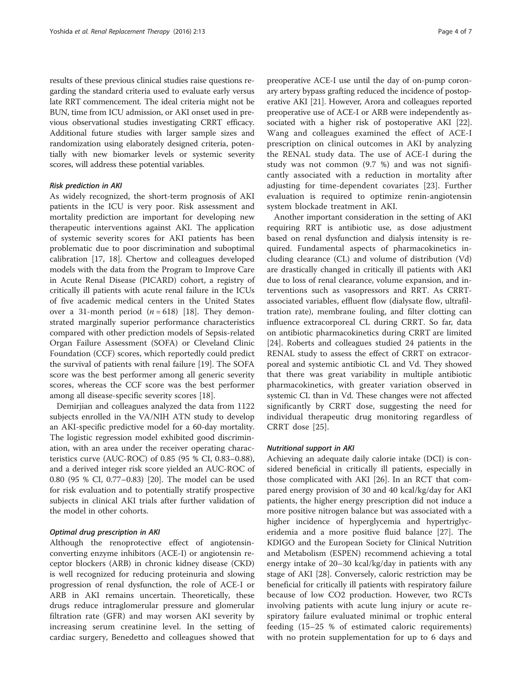results of these previous clinical studies raise questions regarding the standard criteria used to evaluate early versus late RRT commencement. The ideal criteria might not be BUN, time from ICU admission, or AKI onset used in previous observational studies investigating CRRT efficacy. Additional future studies with larger sample sizes and randomization using elaborately designed criteria, potentially with new biomarker levels or systemic severity scores, will address these potential variables.

#### Risk prediction in AKI

As widely recognized, the short-term prognosis of AKI patients in the ICU is very poor. Risk assessment and mortality prediction are important for developing new therapeutic interventions against AKI. The application of systemic severity scores for AKI patients has been problematic due to poor discrimination and suboptimal calibration [[17, 18](#page--1-0)]. Chertow and colleagues developed models with the data from the Program to Improve Care in Acute Renal Disease (PICARD) cohort, a registry of critically ill patients with acute renal failure in the ICUs of five academic medical centers in the United States over a 31-month period  $(n = 618)$  [\[18\]](#page--1-0). They demonstrated marginally superior performance characteristics compared with other prediction models of Sepsis-related Organ Failure Assessment (SOFA) or Cleveland Clinic Foundation (CCF) scores, which reportedly could predict the survival of patients with renal failure [\[19\]](#page--1-0). The SOFA score was the best performer among all generic severity scores, whereas the CCF score was the best performer among all disease-specific severity scores [[18](#page--1-0)].

Demirjian and colleagues analyzed the data from 1122 subjects enrolled in the VA/NIH ATN study to develop an AKI-specific predictive model for a 60-day mortality. The logistic regression model exhibited good discrimination, with an area under the receiver operating characteristics curve (AUC-ROC) of 0.85 (95 % CI, 0.83–0.88), and a derived integer risk score yielded an AUC-ROC of 0.80 (95 % CI, 0.77–0.83) [\[20](#page--1-0)]. The model can be used for risk evaluation and to potentially stratify prospective subjects in clinical AKI trials after further validation of the model in other cohorts.

#### Optimal drug prescription in AKI

Although the renoprotective effect of angiotensinconverting enzyme inhibitors (ACE-I) or angiotensin receptor blockers (ARB) in chronic kidney disease (CKD) is well recognized for reducing proteinuria and slowing progression of renal dysfunction, the role of ACE-I or ARB in AKI remains uncertain. Theoretically, these drugs reduce intraglomerular pressure and glomerular filtration rate (GFR) and may worsen AKI severity by increasing serum creatinine level. In the setting of cardiac surgery, Benedetto and colleagues showed that preoperative ACE-I use until the day of on-pump coronary artery bypass grafting reduced the incidence of postoperative AKI [\[21\]](#page--1-0). However, Arora and colleagues reported preoperative use of ACE-I or ARB were independently associated with a higher risk of postoperative AKI [[22](#page--1-0)]. Wang and colleagues examined the effect of ACE-I prescription on clinical outcomes in AKI by analyzing the RENAL study data. The use of ACE-I during the study was not common (9.7 %) and was not significantly associated with a reduction in mortality after adjusting for time-dependent covariates [[23\]](#page--1-0). Further evaluation is required to optimize renin-angiotensin system blockade treatment in AKI.

Another important consideration in the setting of AKI requiring RRT is antibiotic use, as dose adjustment based on renal dysfunction and dialysis intensity is required. Fundamental aspects of pharmacokinetics including clearance (CL) and volume of distribution (Vd) are drastically changed in critically ill patients with AKI due to loss of renal clearance, volume expansion, and interventions such as vasopressors and RRT. As CRRTassociated variables, effluent flow (dialysate flow, ultrafiltration rate), membrane fouling, and filter clotting can influence extracorporeal CL during CRRT. So far, data on antibiotic pharmacokinetics during CRRT are limited [[24\]](#page--1-0). Roberts and colleagues studied 24 patients in the RENAL study to assess the effect of CRRT on extracorporeal and systemic antibiotic CL and Vd. They showed that there was great variability in multiple antibiotic pharmacokinetics, with greater variation observed in systemic CL than in Vd. These changes were not affected significantly by CRRT dose, suggesting the need for individual therapeutic drug monitoring regardless of CRRT dose [[25](#page--1-0)].

#### Nutritional support in AKI

Achieving an adequate daily calorie intake (DCI) is considered beneficial in critically ill patients, especially in those complicated with AKI [\[26](#page--1-0)]. In an RCT that compared energy provision of 30 and 40 kcal/kg/day for AKI patients, the higher energy prescription did not induce a more positive nitrogen balance but was associated with a higher incidence of hyperglycemia and hypertriglyceridemia and a more positive fluid balance [[27\]](#page--1-0). The KDIGO and the European Society for Clinical Nutrition and Metabolism (ESPEN) recommend achieving a total energy intake of 20–30 kcal/kg/day in patients with any stage of AKI [[28](#page--1-0)]. Conversely, caloric restriction may be beneficial for critically ill patients with respiratory failure because of low CO2 production. However, two RCTs involving patients with acute lung injury or acute respiratory failure evaluated minimal or trophic enteral feeding (15–25 % of estimated caloric requirements) with no protein supplementation for up to 6 days and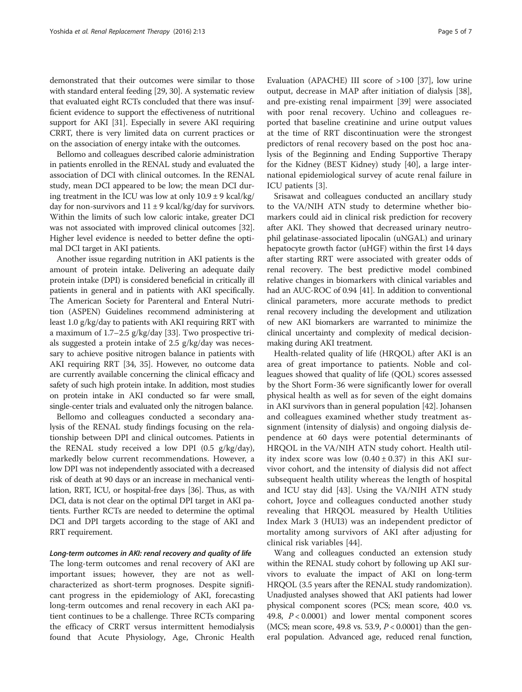demonstrated that their outcomes were similar to those with standard enteral feeding [[29, 30\]](#page--1-0). A systematic review that evaluated eight RCTs concluded that there was insufficient evidence to support the effectiveness of nutritional support for AKI [[31](#page--1-0)]. Especially in severe AKI requiring CRRT, there is very limited data on current practices or on the association of energy intake with the outcomes.

Bellomo and colleagues described calorie administration in patients enrolled in the RENAL study and evaluated the association of DCI with clinical outcomes. In the RENAL study, mean DCI appeared to be low; the mean DCI during treatment in the ICU was low at only  $10.9 \pm 9$  kcal/kg/ day for non-survivors and  $11 \pm 9$  kcal/kg/day for survivors. Within the limits of such low caloric intake, greater DCI was not associated with improved clinical outcomes [[32](#page--1-0)]. Higher level evidence is needed to better define the optimal DCI target in AKI patients.

Another issue regarding nutrition in AKI patients is the amount of protein intake. Delivering an adequate daily protein intake (DPI) is considered beneficial in critically ill patients in general and in patients with AKI specifically. The American Society for Parenteral and Enteral Nutrition (ASPEN) Guidelines recommend administering at least 1.0 g/kg/day to patients with AKI requiring RRT with a maximum of 1.7–2.5 g/kg/day [[33\]](#page--1-0). Two prospective trials suggested a protein intake of 2.5 g/kg/day was necessary to achieve positive nitrogen balance in patients with AKI requiring RRT [[34](#page--1-0), [35](#page--1-0)]. However, no outcome data are currently available concerning the clinical efficacy and safety of such high protein intake. In addition, most studies on protein intake in AKI conducted so far were small, single-center trials and evaluated only the nitrogen balance.

Bellomo and colleagues conducted a secondary analysis of the RENAL study findings focusing on the relationship between DPI and clinical outcomes. Patients in the RENAL study received a low DPI (0.5 g/kg/day), markedly below current recommendations. However, a low DPI was not independently associated with a decreased risk of death at 90 days or an increase in mechanical ventilation, RRT, ICU, or hospital-free days [[36](#page--1-0)]. Thus, as with DCI, data is not clear on the optimal DPI target in AKI patients. Further RCTs are needed to determine the optimal DCI and DPI targets according to the stage of AKI and RRT requirement.

Long-term outcomes in AKI: renal recovery and quality of life The long-term outcomes and renal recovery of AKI are important issues; however, they are not as wellcharacterized as short-term prognoses. Despite significant progress in the epidemiology of AKI, forecasting long-term outcomes and renal recovery in each AKI patient continues to be a challenge. Three RCTs comparing the efficacy of CRRT versus intermittent hemodialysis found that Acute Physiology, Age, Chronic Health Evaluation (APACHE) III score of >100 [\[37](#page--1-0)], low urine output, decrease in MAP after initiation of dialysis [\[38](#page--1-0)], and pre-existing renal impairment [\[39](#page--1-0)] were associated with poor renal recovery. Uchino and colleagues reported that baseline creatinine and urine output values at the time of RRT discontinuation were the strongest predictors of renal recovery based on the post hoc analysis of the Beginning and Ending Supportive Therapy for the Kidney (BEST Kidney) study [[40\]](#page--1-0), a large international epidemiological survey of acute renal failure in ICU patients [\[3](#page-5-0)].

Srisawat and colleagues conducted an ancillary study to the VA/NIH ATN study to determine whether biomarkers could aid in clinical risk prediction for recovery after AKI. They showed that decreased urinary neutrophil gelatinase-associated lipocalin (uNGAL) and urinary hepatocyte growth factor (uHGF) within the first 14 days after starting RRT were associated with greater odds of renal recovery. The best predictive model combined relative changes in biomarkers with clinical variables and had an AUC-ROC of 0.94 [\[41\]](#page--1-0). In addition to conventional clinical parameters, more accurate methods to predict renal recovery including the development and utilization of new AKI biomarkers are warranted to minimize the clinical uncertainty and complexity of medical decisionmaking during AKI treatment.

Health-related quality of life (HRQOL) after AKI is an area of great importance to patients. Noble and colleagues showed that quality of life (QOL) scores assessed by the Short Form-36 were significantly lower for overall physical health as well as for seven of the eight domains in AKI survivors than in general population [[42\]](#page--1-0). Johansen and colleagues examined whether study treatment assignment (intensity of dialysis) and ongoing dialysis dependence at 60 days were potential determinants of HRQOL in the VA/NIH ATN study cohort. Health utility index score was low  $(0.40 \pm 0.37)$  in this AKI survivor cohort, and the intensity of dialysis did not affect subsequent health utility whereas the length of hospital and ICU stay did [[43\]](#page--1-0). Using the VA/NIH ATN study cohort, Joyce and colleagues conducted another study revealing that HRQOL measured by Health Utilities Index Mark 3 (HUI3) was an independent predictor of mortality among survivors of AKI after adjusting for clinical risk variables [[44\]](#page--1-0).

Wang and colleagues conducted an extension study within the RENAL study cohort by following up AKI survivors to evaluate the impact of AKI on long-term HRQOL (3.5 years after the RENAL study randomization). Unadjusted analyses showed that AKI patients had lower physical component scores (PCS; mean score, 40.0 vs. 49.8, P < 0.0001) and lower mental component scores (MCS; mean score, 49.8 vs. 53.9,  $P < 0.0001$ ) than the general population. Advanced age, reduced renal function,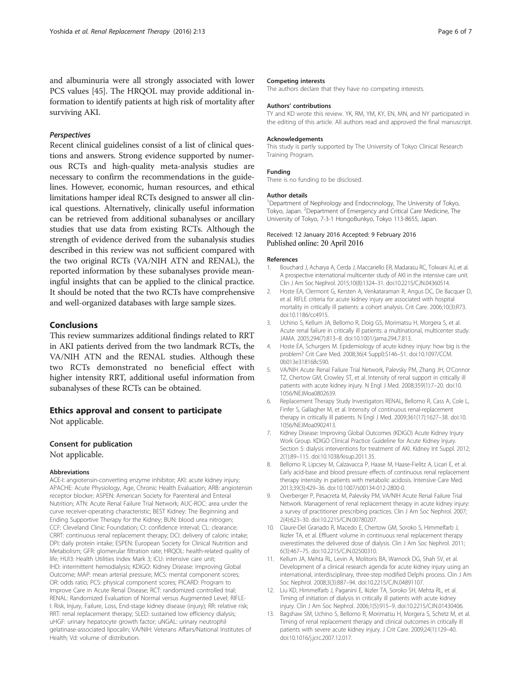<span id="page-5-0"></span>and albuminuria were all strongly associated with lower PCS values [[45](#page--1-0)]. The HRQOL may provide additional information to identify patients at high risk of mortality after surviving AKI.

#### Perspectives

Recent clinical guidelines consist of a list of clinical questions and answers. Strong evidence supported by numerous RCTs and high-quality meta-analysis studies are necessary to confirm the recommendations in the guidelines. However, economic, human resources, and ethical limitations hamper ideal RCTs designed to answer all clinical questions. Alternatively, clinically useful information can be retrieved from additional subanalyses or ancillary studies that use data from existing RCTs. Although the strength of evidence derived from the subanalysis studies described in this review was not sufficient compared with the two original RCTs (VA/NIH ATN and RENAL), the reported information by these subanalyses provide meaningful insights that can be applied to the clinical practice. It should be noted that the two RCTs have comprehensive and well-organized databases with large sample sizes.

#### Conclusions

This review summarizes additional findings related to RRT in AKI patients derived from the two landmark RCTs, the VA/NIH ATN and the RENAL studies. Although these two RCTs demonstrated no beneficial effect with higher intensity RRT, additional useful information from subanalyses of these RCTs can be obtained.

#### Ethics approval and consent to participate

Not applicable.

#### Consent for publication

Not applicable.

#### Abbreviations

ACE-I: angiotensin-converting enzyme inhibitor; AKI: acute kidney injury; APACHE: Acute Physiology, Age, Chronic Health Evaluation; ARB: angiotensin receptor blocker; ASPEN: American Society for Parenteral and Enteral Nutrition; ATN: Acute Renal Failure Trial Network; AUC-ROC: area under the curve receiver-operating characteristic; BEST Kidney: The Beginning and Ending Supportive Therapy for the Kidney; BUN: blood urea nitrogen; CCF: Cleveland Clinic Foundation; CI: confidence interval; CL: clearance; CRRT: continuous renal replacement therapy; DCI: delivery of caloric intake; DPI: daily protein intake; ESPEN: European Society for Clinical Nutrition and Metabolism; GFR: glomerular filtration rate; HRQOL: health-related quality of life; HUI3: Health Utilities Index Mark 3; ICU: intensive care unit; IHD: intermittent hemodialysis; KDIGO: Kidney Disease: Improving Global Outcome; MAP: mean arterial pressure; MCS: mental component scores; OR: odds ratio; PCS: physical component scores; PICARD: Program to Improve Care in Acute Renal Disease; RCT: randomized controlled trial; RENAL: Randomized Evaluation of Normal versus Augmented Level; RIFLE-I: Risk, Injury, Failure, Loss, End-stage kidney disease (injury); RR: relative risk; RRT: renal replacement therapy; SLED: sustained low efficiency dialysis; uHGF: urinary hepatocyte growth factor; uNGAL: urinary neutrophil gelatinase-associated lipocalin; VA/NIH: Veterans Affairs/National Institutes of Health; Vd: volume of distribution.

#### Competing interests

The authors declare that they have no competing interests.

#### Authors' contributions

TY and KD wrote this review. YK, RM, YM, KY, EN, MN, and NY participated in the editing of this article. All authors read and approved the final manuscript.

#### Acknowledgements

This study is partly supported by The University of Tokyo Clinical Research Training Program.

#### Funding

There is no funding to be disclosed.

#### Author details

<sup>1</sup>Department of Nephrology and Endocrinology, The University of Tokyo, Tokyo, Japan. <sup>2</sup> Department of Emergency and Critical Care Medicine, The University of Tokyo, 7-3-1 HongoBunkyo, Tokyo 113-8655, Japan.

#### Received: 12 January 2016 Accepted: 9 February 2016 Published online: 20 April 2016

#### References

- 1. Bouchard J, Acharya A, Cerda J, Maccariello ER, Madarasu RC, Tolwani AJ, et al. A prospective international multicenter study of AKI in the intensive care unit. Clin J Am Soc Nephrol. 2015;10(8):1324–31. doi[:10.2215/CJN.04360514](http://dx.doi.org/10.2215/CJN.04360514).
- 2. Hoste EA, Clermont G, Kersten A, Venkataraman R, Angus DC, De Bacquer D, et al. RIFLE criteria for acute kidney injury are associated with hospital mortality in critically ill patients: a cohort analysis. Crit Care. 2006;10(3):R73. doi[:10.1186/cc4915.](http://dx.doi.org/10.1186/cc4915)
- 3. Uchino S, Kellum JA, Bellomo R, Doig GS, Morimatsu H, Morgera S, et al. Acute renal failure in critically ill patients: a multinational, multicenter study. JAMA. 2005;294(7):813–8. doi:[10.1001/jama.294.7.813.](http://dx.doi.org/10.1001/jama.294.7.813)
- 4. Hoste EA, Schurgers M. Epidemiology of acute kidney injury: how big is the problem? Crit Care Med. 2008;36(4 Suppl):S146–51. doi[:10.1097/CCM.](http://dx.doi.org/10.1097/CCM.0b013e318168c590) [0b013e318168c590](http://dx.doi.org/10.1097/CCM.0b013e318168c590).
- 5. VA/NIH Acute Renal Failure Trial Network, Palevsky PM, Zhang JH, O'Connor TZ, Chertow GM, Crowley ST, et al. Intensity of renal support in critically ill patients with acute kidney injury. N Engl J Med. 2008;359(1):7–20. doi[:10.](http://dx.doi.org/10.1056/NEJMoa0802639) [1056/NEJMoa0802639](http://dx.doi.org/10.1056/NEJMoa0802639).
- Replacement Therapy Study Investigators RENAL, Bellomo R, Cass A, Cole L, Finfer S, Gallagher M, et al. Intensity of continuous renal-replacement therapy in critically ill patients. N Engl J Med. 2009;361(17):1627–38. doi:[10.](http://dx.doi.org/10.1056/NEJMoa0902413) [1056/NEJMoa0902413](http://dx.doi.org/10.1056/NEJMoa0902413).
- 7. Kidney Disease: Improving Global Outcomes (KDIGO) Acute Kidney Injury Work Group. KDIGO Clinical Practice Guideline for Acute Kidney Injury. Section 5: dialysis interventions for treatment of AKI. Kidney Int Suppl. 2012; 2(1):89–115. doi:[10.1038/kisup.2011.35](http://dx.doi.org/10.1038/kisup.2011.35).
- 8. Bellomo R, Lipcsey M, Calzavacca P, Haase M, Haase-Fielitz A, Licari E, et al. Early acid-base and blood pressure effects of continuous renal replacement therapy intensity in patients with metabolic acidosis. Intensive Care Med. 2013;39(3):429–36. doi:[10.1007/s00134-012-2800-0](http://dx.doi.org/10.1007/s00134-012-2800-0).
- 9. Overberger P, Pesacreta M, Palevsky PM, VA/NIH Acute Renal Failure Trial Network. Management of renal replacement therapy in acute kidney injury: a survey of practitioner prescribing practices. Clin J Am Soc Nephrol. 2007; 2(4):623–30. doi:[10.2215/CJN.00780207](http://dx.doi.org/10.2215/CJN.00780207).
- 10. Claure-Del Granado R, Macedo E, Chertow GM, Soroko S, Himmelfarb J, Ikizler TA, et al. Effluent volume in continuous renal replacement therapy overestimates the delivered dose of dialysis. Clin J Am Soc Nephrol. 2011; 6(3):467–75. doi:[10.2215/CJN.02500310](http://dx.doi.org/10.2215/CJN.02500310).
- 11. Kellum JA, Mehta RL, Levin A, Molitoris BA, Warnock DG, Shah SV, et al. Development of a clinical research agenda for acute kidney injury using an international, interdisciplinary, three-step modified Delphi process. Clin J Am Soc Nephrol. 2008;3(3):887–94. doi[:10.2215/CJN.04891107.](http://dx.doi.org/10.2215/CJN.04891107)
- 12. Liu KD, Himmelfarb J, Paganini E, Ikizler TA, Soroko SH, Mehta RL, et al. Timing of initiation of dialysis in critically ill patients with acute kidney injury. Clin J Am Soc Nephrol. 2006;1(5):915–9. doi[:10.2215/CJN.01430406.](http://dx.doi.org/10.2215/CJN.01430406)
- 13. Bagshaw SM, Uchino S, Bellomo R, Morimatsu H, Morgera S, Schetz M, et al. Timing of renal replacement therapy and clinical outcomes in critically ill patients with severe acute kidney injury. J Crit Care. 2009;24(1):129–40. doi[:10.1016/j.jcrc.2007.12.017.](http://dx.doi.org/10.1016/j.jcrc.2007.12.017)